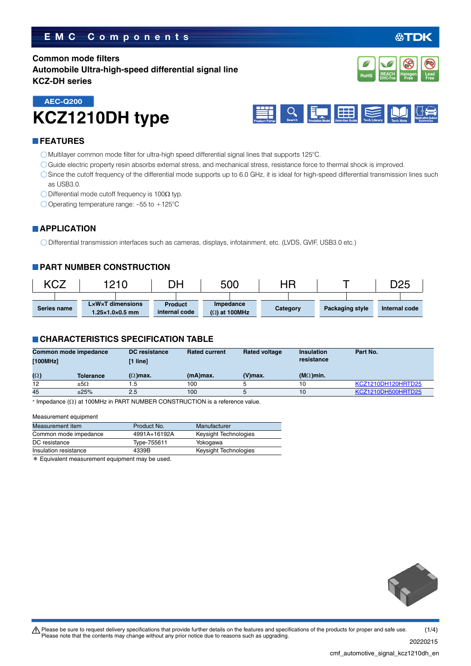## **EMC Components**

## **Common mode filters Automobile Ultra-high-speed differential signal line KCZ-DH series**



# **KCZ1210DH type AEC-Q200**



#### **FEATURES**

- Multilayer common mode filter for ultra-high speed differential signal lines that supports 125°C.
- Guide electric property resin absorbs external stress, and mechanical stress, resistance force to thermal shock is improved.
- Since the cutoff frequency of the differential mode supports up to 6.0 GHz, it is ideal for high-speed differential transmission lines such as USB3.0.
- $\bigcirc$  Differential mode cutoff frequency is 100 $\Omega$  typ.
- O Operating temperature range:  $-55$  to  $+125^{\circ}$ C

#### **APPLICATION**

Differential transmission interfaces such as cameras, displays, infotainment, etc. (LVDS, GVIF, USB3.0 etc.)

#### **PART NUMBER CONSTRUCTION**

| <b><cz< b=""></cz<></b> | 1210                                                                |                                 | 500                               | ΗR       |                 | D <sub>25</sub> |
|-------------------------|---------------------------------------------------------------------|---------------------------------|-----------------------------------|----------|-----------------|-----------------|
| Series name             | $L \times W \times T$ dimensions<br>$1.25 \times 1.0 \times 0.5$ mm | <b>Product</b><br>internal code | Impedance<br>$(\Omega)$ at 100MHz | Category | Packaging style | Internal code   |

#### **CHARACTERISTICS SPECIFICATION TABLE**

| (V)max. | $(M\Omega)$ min. |                    |
|---------|------------------|--------------------|
|         | 10               | KCZ1210DH120HRTD25 |
|         | 10               | KCZ1210DH500HRTD25 |
|         |                  |                    |

 $*$  Impedance ( $\Omega$ ) at 100MHz in PART NUMBER CONSTRUCTION is a reference value.

#### Measurement equipment

| Measurement item      | Product No.  | Manufacturer          |
|-----------------------|--------------|-----------------------|
| Common mode impedance | 4991A+16192A | Keysight Technologies |
| DC resistance         | Type-755611  | Yokogawa              |
| Insulation resistance | 4339B        | Keysight Technologies |
|                       |              |                       |

\* Equivalent measurement equipment may be used.

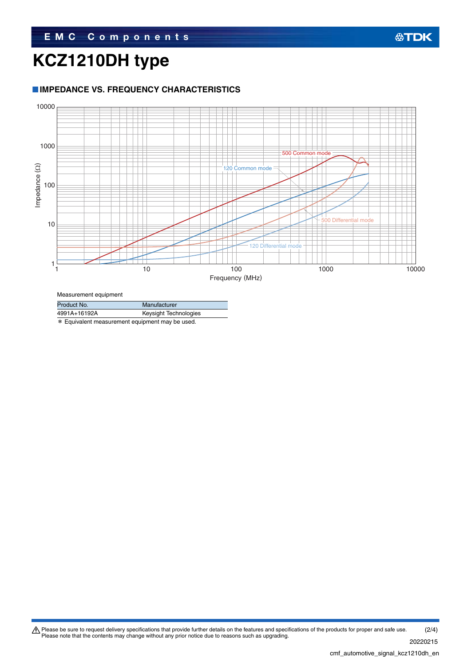# **KCZ1210DH type**

## **IMPEDANCE VS. FREQUENCY CHARACTERISTICS**



Measurement equipment

| Product No.  | Manufacturer          |
|--------------|-----------------------|
| 4991A+16192A | Keysight Technologies |

\* Equivalent measurement equipment may be used.

Please be sure to request delivery specifications that provide further details on the features and specifications of the products for proper and safe use.<br>Please note that the contents may change without any prior notice d 20220215 (2/4)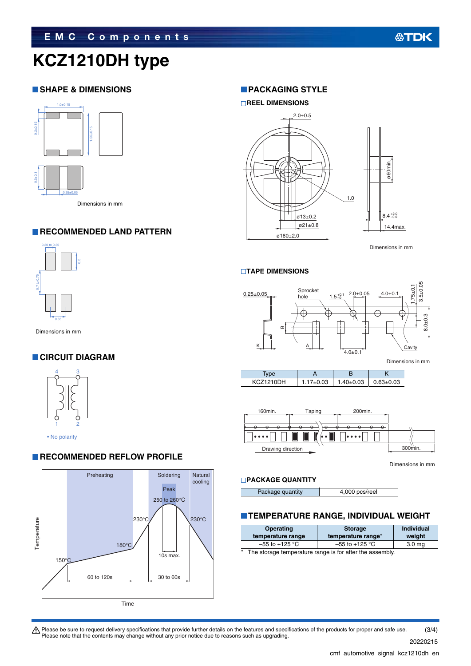# **KCZ1210DH type**

#### **SHAPE & DIMENSIONS**



### **RECOMMENDED LAND PATTERN**



### **CIRCUIT DIAGRAM**



**RECOMMENDED REFLOW PROFILE** 



#### **PACKAGING STYLE**

#### **REEL DIMENSIONS**



Dimensions in mm

#### **TAPE DIMENSIONS**



| vpe              |                 |                 |               |
|------------------|-----------------|-----------------|---------------|
| <b>KCZ1210DH</b> | $1.17 \pm 0.03$ | $1.40 \pm 0.03$ | $0.63 + 0.03$ |



Dimensions in mm

#### **PACKAGE QUANTITY**

Package quantity **4,000 pcs/reel** 

## **TEMPERATURE RANGE, INDIVIDUAL WEIGHT**

| <b>Operating</b><br>temperature range                              | <b>Storage</b><br>temperature range* | <b>Individual</b><br>weight |
|--------------------------------------------------------------------|--------------------------------------|-----------------------------|
| $-55$ to +125 °C                                                   | $-55$ to $+125$ °C                   | 3.0 <sub>mg</sub>           |
| $\ast$<br>The storage temperature range is for after the assembly. |                                      |                             |

 $\bigwedge$  Please be sure to request delivery specifications that provide further details on the features and specifications of the products for proper and safe use. Please note that the contents may change without any prior notice due to reasons such as upgrading. (3/4)

20220215